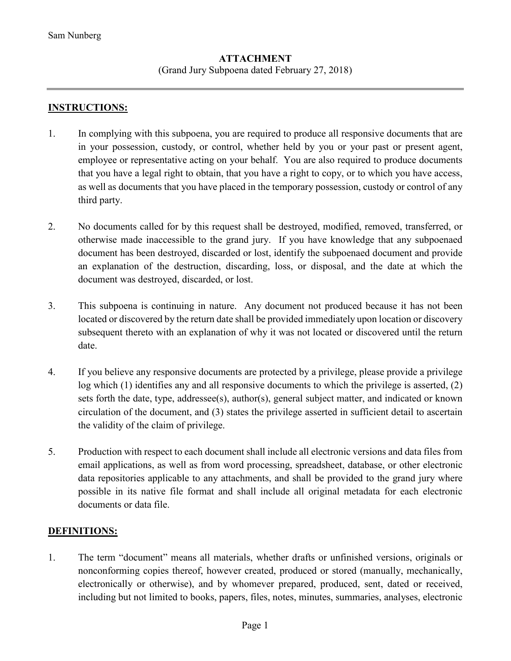### **ATTACHMENT**  (Grand Jury Subpoena dated February 27, 2018)

#### **INSTRUCTIONS:**

- 1. In complying with this subpoena, you are required to produce all responsive documents that are in your possession, custody, or control, whether held by you or your past or present agent, employee or representative acting on your behalf. You are also required to produce documents that you have a legal right to obtain, that you have a right to copy, or to which you have access, as well as documents that you have placed in the temporary possession, custody or control of any third party.
- 2. No documents called for by this request shall be destroyed, modified, removed, transferred, or otherwise made inaccessible to the grand jury. If you have knowledge that any subpoenaed document has been destroyed, discarded or lost, identify the subpoenaed document and provide an explanation of the destruction, discarding, loss, or disposal, and the date at which the document was destroyed, discarded, or lost.
- 3. This subpoena is continuing in nature. Any document not produced because it has not been located or discovered by the return date shall be provided immediately upon location or discovery subsequent thereto with an explanation of why it was not located or discovered until the return date.
- 4. If you believe any responsive documents are protected by a privilege, please provide a privilege log which (1) identifies any and all responsive documents to which the privilege is asserted, (2) sets forth the date, type, addressee(s), author(s), general subject matter, and indicated or known circulation of the document, and (3) states the privilege asserted in sufficient detail to ascertain the validity of the claim of privilege.
- 5. Production with respect to each document shall include all electronic versions and data files from email applications, as well as from word processing, spreadsheet, database, or other electronic data repositories applicable to any attachments, and shall be provided to the grand jury where possible in its native file format and shall include all original metadata for each electronic documents or data file.

#### **DEFINITIONS:**

1. The term "document" means all materials, whether drafts or unfinished versions, originals or nonconforming copies thereof, however created, produced or stored (manually, mechanically, electronically or otherwise), and by whomever prepared, produced, sent, dated or received, including but not limited to books, papers, files, notes, minutes, summaries, analyses, electronic